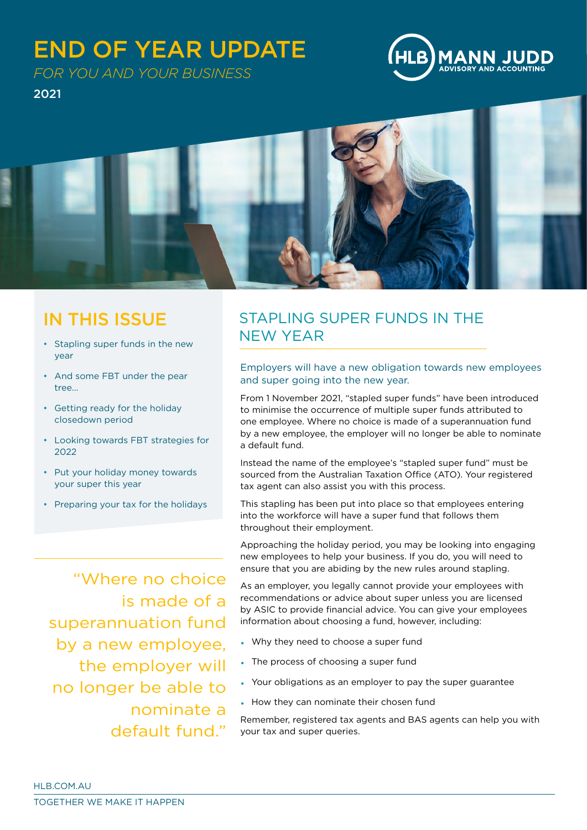# END OF YEAR UPDATE



*FOR YOU AND YOUR BUSINESS*

2021



## IN THIS ISSUE

- Stapling super funds in the new year
- And some FBT under the pear tree...
- Getting ready for the holiday closedown period
- Looking towards FBT strategies for 2022
- Put your holiday money towards your super this year
- Preparing your tax for the holidays

## STAPLING SUPER FUNDS IN THE NEW YEAR

Employers will have a new obligation towards new employees and super going into the new year.

From 1 November 2021, "stapled super funds" have been introduced to minimise the occurrence of multiple super funds attributed to one employee. Where no choice is made of a superannuation fund by a new employee, the employer will no longer be able to nominate a default fund.

Instead the name of the employee's "stapled super fund" must be sourced from the Australian Taxation Office (ATO). Your registered tax agent can also assist you with this process.

This stapling has been put into place so that employees entering into the workforce will have a super fund that follows them throughout their employment.

Approaching the holiday period, you may be looking into engaging new employees to help your business. If you do, you will need to ensure that you are abiding by the new rules around stapling.

As an employer, you legally cannot provide your employees with recommendations or advice about super unless you are licensed by ASIC to provide financial advice. You can give your employees information about choosing a fund, however, including:

- Why they need to choose a super fund
- The process of choosing a super fund
- Your obligations as an employer to pay the super guarantee
- How they can nominate their chosen fund

Remember, registered tax agents and BAS agents can help you with your tax and super queries.

is made of a superannuation fund by a new employee, the employer will no longer be able to nominate a default fund."

"Where no choice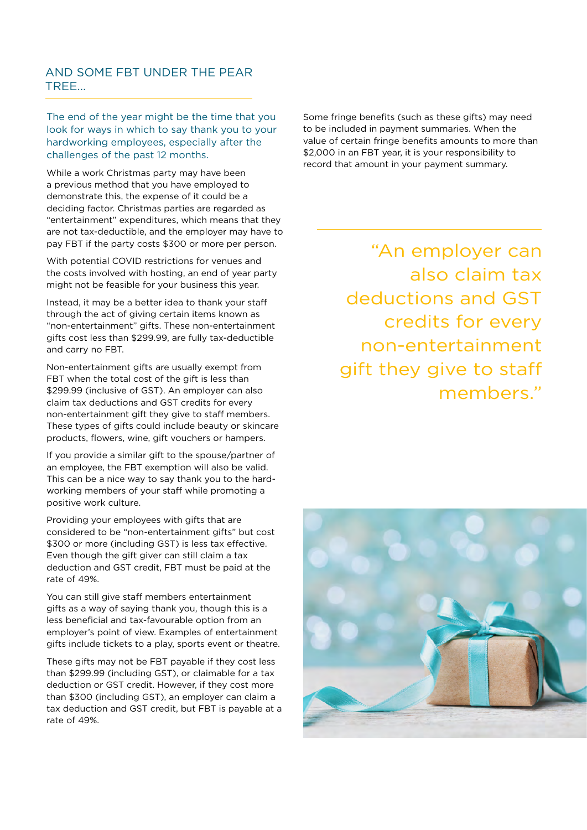### AND SOME FBT UNDER THE PEAR TREE...

The end of the year might be the time that you look for ways in which to say thank you to your hardworking employees, especially after the challenges of the past 12 months.

While a work Christmas party may have been a previous method that you have employed to demonstrate this, the expense of it could be a deciding factor. Christmas parties are regarded as "entertainment" expenditures, which means that they are not tax-deductible, and the employer may have to pay FBT if the party costs \$300 or more per person.

With potential COVID restrictions for venues and the costs involved with hosting, an end of year party might not be feasible for your business this year.

Instead, it may be a better idea to thank your staff through the act of giving certain items known as "non-entertainment" gifts. These non-entertainment gifts cost less than \$299.99, are fully tax-deductible and carry no FBT.

Non-entertainment gifts are usually exempt from FBT when the total cost of the gift is less than \$299.99 (inclusive of GST). An employer can also claim tax deductions and GST credits for every non-entertainment gift they give to staff members. These types of gifts could include beauty or skincare products, flowers, wine, gift vouchers or hampers.

If you provide a similar gift to the spouse/partner of an employee, the FBT exemption will also be valid. This can be a nice way to say thank you to the hardworking members of your staff while promoting a positive work culture.

Providing your employees with gifts that are considered to be "non-entertainment gifts" but cost \$300 or more (including GST) is less tax effective. Even though the gift giver can still claim a tax deduction and GST credit, FBT must be paid at the rate of 49%.

You can still give staff members entertainment gifts as a way of saying thank you, though this is a less beneficial and tax-favourable option from an employer's point of view. Examples of entertainment gifts include tickets to a play, sports event or theatre.

These gifts may not be FBT payable if they cost less than \$299.99 (including GST), or claimable for a tax deduction or GST credit. However, if they cost more than \$300 (including GST), an employer can claim a tax deduction and GST credit, but FBT is payable at a rate of 49%.

Some fringe benefits (such as these gifts) may need to be included in payment summaries. When the value of certain fringe benefits amounts to more than \$2,000 in an FBT year, it is your responsibility to record that amount in your payment summary.

> "An employer can also claim tax deductions and GST credits for every non-entertainment gift they give to staff members."

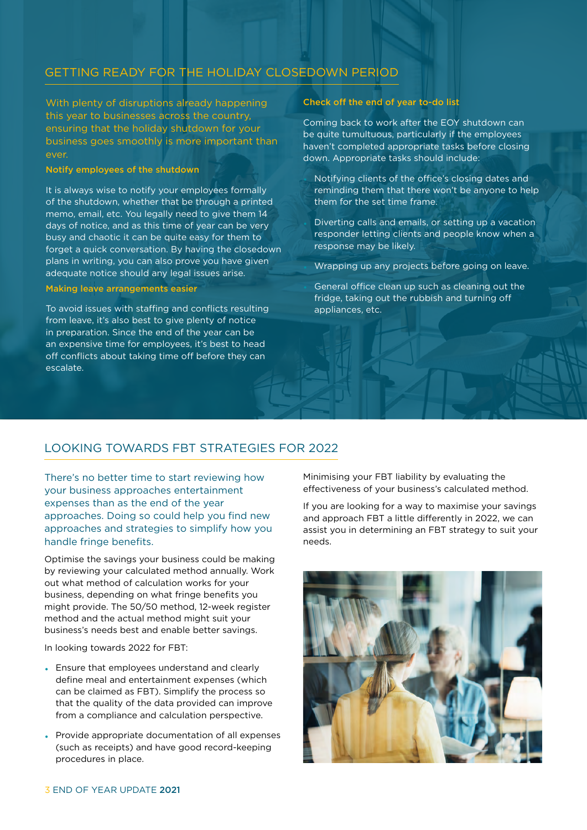### GETTING READY FOR THE HOLIDAY CLOSEDOWN PERIOD

With plenty of disruptions already happening this year to businesses across the country, ensuring that the holiday shutdown for your business goes smoothly is more important than ever.

#### Notify employees of the shutdown

It is always wise to notify your employees formally of the shutdown, whether that be through a printed memo, email, etc. You legally need to give them 14 days of notice, and as this time of year can be very busy and chaotic it can be quite easy for them to forget a quick conversation. By having the closedown plans in writing, you can also prove you have given adequate notice should any legal issues arise.

#### Making leave arrangements easier

To avoid issues with staffing and conflicts resulting from leave, it's also best to give plenty of notice in preparation. Since the end of the year can be an expensive time for employees, it's best to head off conflicts about taking time off before they can escalate.

#### Check off the end of year to-do list

Coming back to work after the EOY shutdown can be quite tumultuous, particularly if the employees haven't completed appropriate tasks before closing down. Appropriate tasks should include:

- Notifying clients of the office's closing dates and reminding them that there won't be anyone to help them for the set time frame.
- Diverting calls and emails, or setting up a vacation responder letting clients and people know when a response may be likely.

Wrapping up any projects before going on leave.

General office clean up such as cleaning out the fridge, taking out the rubbish and turning off appliances, etc.

### LOOKING TOWARDS FBT STRATEGIES FOR 2022

There's no better time to start reviewing how your business approaches entertainment expenses than as the end of the year approaches. Doing so could help you find new approaches and strategies to simplify how you handle fringe benefits.

Optimise the savings your business could be making by reviewing your calculated method annually. Work out what method of calculation works for your business, depending on what fringe benefits you might provide. The 50/50 method, 12-week register method and the actual method might suit your business's needs best and enable better savings.

In looking towards 2022 for FBT:

- Ensure that employees understand and clearly define meal and entertainment expenses (which can be claimed as FBT). Simplify the process so that the quality of the data provided can improve from a compliance and calculation perspective.
- Provide appropriate documentation of all expenses (such as receipts) and have good record-keeping procedures in place.

Minimising your FBT liability by evaluating the effectiveness of your business's calculated method.

If you are looking for a way to maximise your savings and approach FBT a little differently in 2022, we can assist you in determining an FBT strategy to suit your needs.

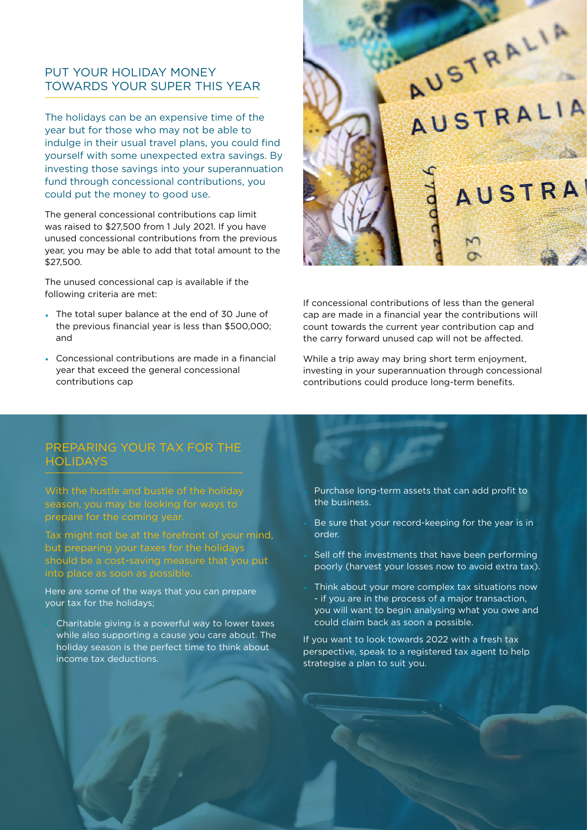### PUT YOUR HOLIDAY MONEY TOWARDS YOUR SUPER THIS YEAR

The holidays can be an expensive time of the year but for those who may not be able to indulge in their usual travel plans, you could find yourself with some unexpected extra savings. By investing those savings into your superannuation fund through concessional contributions, you could put the money to good use.

The general concessional contributions cap limit was raised to \$27,500 from 1 July 2021. If you have unused concessional contributions from the previous year, you may be able to add that total amount to the \$27,500.

The unused concessional cap is available if the following criteria are met:

- The total super balance at the end of 30 June of the previous financial year is less than \$500,000; and
- Concessional contributions are made in a financial year that exceed the general concessional contributions cap



If concessional contributions of less than the general cap are made in a financial year the contributions will count towards the current year contribution cap and the carry forward unused cap will not be affected.

While a trip away may bring short term enjoyment, investing in your superannuation through concessional contributions could produce long-term benefits.

## PREPARING YOUR TAX FOR THE **HOLIDAYS**

With the hustle and bustle of the holiday season, you may be looking for ways to prepare for the coming year.

Tax might not be at the forefront of your mind, but preparing your taxes for the holidays should be a cost-saving measure that you put into place as soon as possible.

Here are some of the ways that you can prepare your tax for the holidays;

 $\mathbf{F} = \mathbf{F} \mathbf{F}$ 

Charitable giving is a powerful way to lower taxes while also supporting a cause you care about. The holiday season is the perfect time to think about income tax deductions.

- Purchase long-term assets that can add profit to the business.
- Be sure that your record-keeping for the year is in order.
- Sell off the investments that have been performing poorly (harvest your losses now to avoid extra tax).
- Think about your more complex tax situations now - if you are in the process of a major transaction, you will want to begin analysing what you owe and could claim back as soon a possible.

If you want to look towards 2022 with a fresh tax perspective, speak to a registered tax agent to help strategise a plan to suit you.